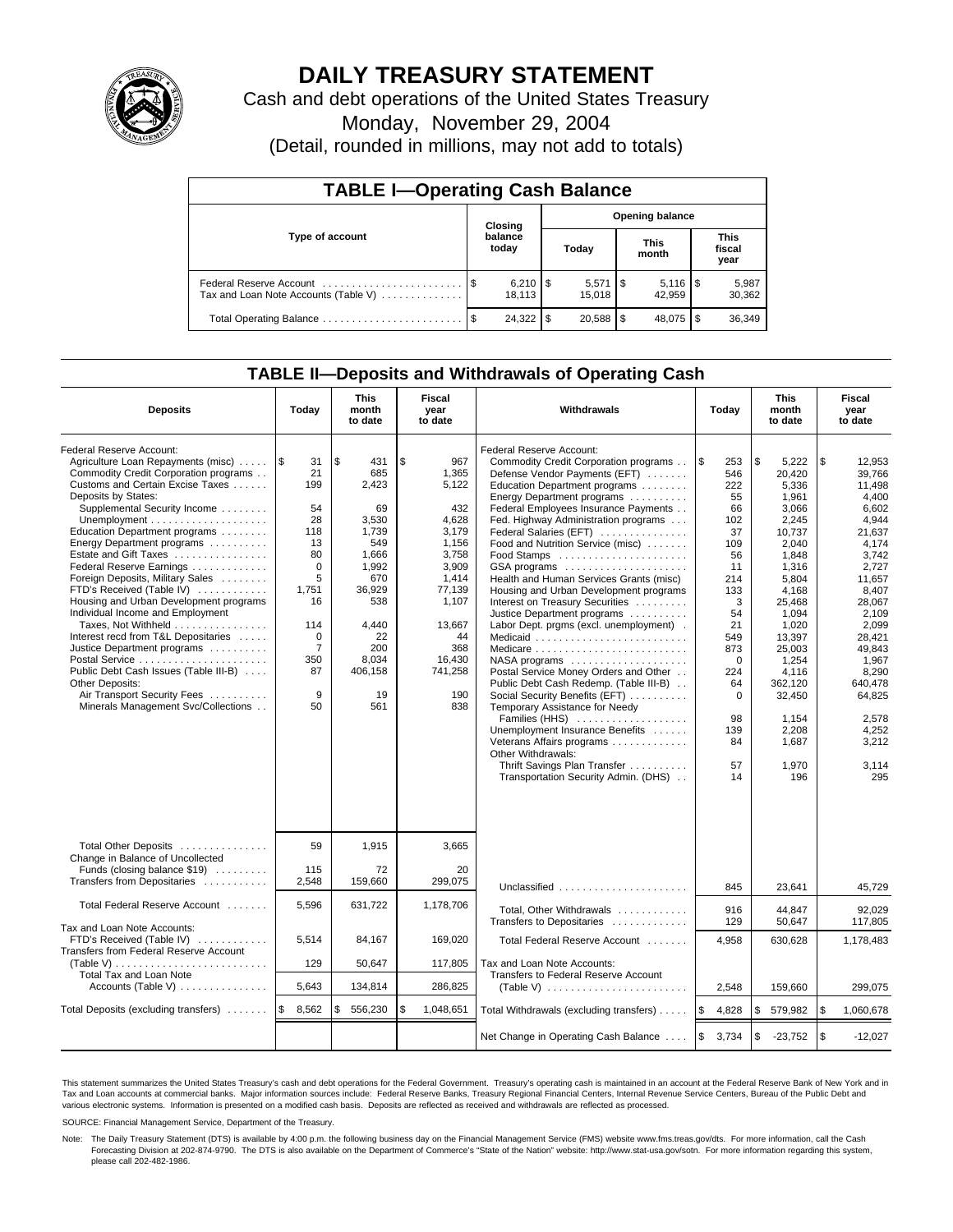

# **DAILY TREASURY STATEMENT**

Cash and debt operations of the United States Treasury

Monday, November 29, 2004

(Detail, rounded in millions, may not add to totals)

| <b>TABLE I-Operating Cash Balance</b> |      |                                   |    |                       |                      |        |                               |                 |  |
|---------------------------------------|------|-----------------------------------|----|-----------------------|----------------------|--------|-------------------------------|-----------------|--|
| Type of account                       |      | <b>Opening balance</b><br>Closing |    |                       |                      |        |                               |                 |  |
|                                       |      | balance<br>today                  |    | Today                 | <b>This</b><br>month |        | <b>This</b><br>fiscal<br>year |                 |  |
| Tax and Loan Note Accounts (Table V)  |      | $6,210$ $\sqrt{5}$<br>18.113      |    | $5,571$ \\$<br>15.018 |                      | 42.959 |                               | 5,987<br>30,362 |  |
| Total Operating Balance               | - \$ | 24,322                            | \$ | 20,588 \$             |                      | 48,075 |                               | 36,349          |  |

### **TABLE II—Deposits and Withdrawals of Operating Cash**

| <b>Deposits</b>                                                                                                                                                                                                                                                                                                                                                                                                                                                                                                                                                                                                                                                                                      | Today                                                                                                                                                    | <b>This</b><br>month<br>to date                                                                                                                             | Fiscal<br>year<br>to date                                                                                                                                             | Withdrawals                                                                                                                                                                                                                                                                                                                                                                                                                                                                                                                                                                                                                                                                                                                                                                                                                                                                                            | Today                                                                                                                                                                                         | <b>This</b><br>month<br>to date                                                                                                                                                                                                                    | Fiscal<br>year<br>to date                                                                                                                                                                                                                             |
|------------------------------------------------------------------------------------------------------------------------------------------------------------------------------------------------------------------------------------------------------------------------------------------------------------------------------------------------------------------------------------------------------------------------------------------------------------------------------------------------------------------------------------------------------------------------------------------------------------------------------------------------------------------------------------------------------|----------------------------------------------------------------------------------------------------------------------------------------------------------|-------------------------------------------------------------------------------------------------------------------------------------------------------------|-----------------------------------------------------------------------------------------------------------------------------------------------------------------------|--------------------------------------------------------------------------------------------------------------------------------------------------------------------------------------------------------------------------------------------------------------------------------------------------------------------------------------------------------------------------------------------------------------------------------------------------------------------------------------------------------------------------------------------------------------------------------------------------------------------------------------------------------------------------------------------------------------------------------------------------------------------------------------------------------------------------------------------------------------------------------------------------------|-----------------------------------------------------------------------------------------------------------------------------------------------------------------------------------------------|----------------------------------------------------------------------------------------------------------------------------------------------------------------------------------------------------------------------------------------------------|-------------------------------------------------------------------------------------------------------------------------------------------------------------------------------------------------------------------------------------------------------|
| Federal Reserve Account:<br>Agriculture Loan Repayments (misc)<br>Commodity Credit Corporation programs<br>Customs and Certain Excise Taxes<br>Deposits by States:<br>Supplemental Security Income<br>Education Department programs<br>Energy Department programs<br>Estate and Gift Taxes<br>Federal Reserve Earnings<br>Foreign Deposits, Military Sales<br>FTD's Received (Table IV)<br>Housing and Urban Development programs<br>Individual Income and Employment<br>Taxes, Not Withheld<br>Interest recd from T&L Depositaries<br>Justice Department programs<br>Public Debt Cash Issues (Table III-B)<br>Other Deposits:<br>Air Transport Security Fees<br>Minerals Management Svc/Collections | 1\$<br>31<br>21<br>199<br>54<br>28<br>118<br>13<br>80<br>$\mathbf 0$<br>5<br>1.751<br>16<br>114<br>$\mathbf 0$<br>$\overline{7}$<br>350<br>87<br>9<br>50 | l \$<br>431<br>685<br>2,423<br>69<br>3,530<br>1,739<br>549<br>1,666<br>1,992<br>670<br>36,929<br>538<br>4,440<br>22<br>200<br>8,034<br>406,158<br>19<br>561 | \$<br>967<br>1,365<br>5,122<br>432<br>4,628<br>3,179<br>1,156<br>3,758<br>3,909<br>1.414<br>77,139<br>1.107<br>13,667<br>44<br>368<br>16,430<br>741,258<br>190<br>838 | Federal Reserve Account:<br>Commodity Credit Corporation programs<br>Defense Vendor Payments (EFT)<br>Education Department programs<br>Energy Department programs<br>Federal Employees Insurance Payments<br>Fed. Highway Administration programs<br>Federal Salaries (EFT)<br>Food and Nutrition Service (misc)<br>GSA programs<br>Health and Human Services Grants (misc)<br>Housing and Urban Development programs<br>Interest on Treasury Securities<br>Justice Department programs<br>Labor Dept. prgms (excl. unemployment).<br>Medicaid<br>NASA programs<br>Postal Service Money Orders and Other<br>Public Debt Cash Redemp. (Table III-B)<br>Social Security Benefits (EFT)<br>Temporary Assistance for Needy<br>Families (HHS)<br>Unemployment Insurance Benefits<br>Veterans Affairs programs<br>Other Withdrawals:<br>Thrift Savings Plan Transfer<br>Transportation Security Admin. (DHS) | <b>S</b><br>253<br>546<br>222<br>55<br>66<br>102<br>37<br>109<br>56<br>11<br>214<br>133<br>3<br>54<br>21<br>549<br>873<br>$\mathbf 0$<br>224<br>64<br>$\Omega$<br>98<br>139<br>84<br>57<br>14 | \$<br>5,222<br>20,420<br>5,336<br>1.961<br>3,066<br>2,245<br>10,737<br>2,040<br>1,848<br>1,316<br>5.804<br>4.168<br>25,468<br>1,094<br>1.020<br>13,397<br>25,003<br>1,254<br>4.116<br>362,120<br>32,450<br>1,154<br>2,208<br>1,687<br>1,970<br>196 | \$<br>12,953<br>39,766<br>11.498<br>4.400<br>6.602<br>4,944<br>21,637<br>4,174<br>3,742<br>2,727<br>11.657<br>8.407<br>28,067<br>2,109<br>2.099<br>28,421<br>49,843<br>1,967<br>8.290<br>640.478<br>64,825<br>2,578<br>4,252<br>3,212<br>3.114<br>295 |
| Total Other Deposits<br>Change in Balance of Uncollected<br>Funds (closing balance \$19)<br>Transfers from Depositaries                                                                                                                                                                                                                                                                                                                                                                                                                                                                                                                                                                              | 59<br>115<br>2,548                                                                                                                                       | 1,915<br>72<br>159,660                                                                                                                                      | 3,665<br>20<br>299.075                                                                                                                                                | Unclassified                                                                                                                                                                                                                                                                                                                                                                                                                                                                                                                                                                                                                                                                                                                                                                                                                                                                                           | 845                                                                                                                                                                                           | 23,641                                                                                                                                                                                                                                             | 45,729                                                                                                                                                                                                                                                |
| Total Federal Reserve Account                                                                                                                                                                                                                                                                                                                                                                                                                                                                                                                                                                                                                                                                        | 5,596                                                                                                                                                    | 631,722                                                                                                                                                     | 1,178,706                                                                                                                                                             | Total, Other Withdrawals<br>Transfers to Depositaries                                                                                                                                                                                                                                                                                                                                                                                                                                                                                                                                                                                                                                                                                                                                                                                                                                                  | 916<br>129                                                                                                                                                                                    | 44.847<br>50,647                                                                                                                                                                                                                                   | 92.029<br>117.805                                                                                                                                                                                                                                     |
| Tax and Loan Note Accounts:<br>FTD's Received (Table IV)<br>Transfers from Federal Reserve Account<br>(Table V)                                                                                                                                                                                                                                                                                                                                                                                                                                                                                                                                                                                      | 5,514<br>129                                                                                                                                             | 84,167<br>50,647                                                                                                                                            | 169,020<br>117,805                                                                                                                                                    | Total Federal Reserve Account<br>Tax and Loan Note Accounts:                                                                                                                                                                                                                                                                                                                                                                                                                                                                                                                                                                                                                                                                                                                                                                                                                                           | 4.958                                                                                                                                                                                         | 630,628                                                                                                                                                                                                                                            | 1,178,483                                                                                                                                                                                                                                             |
| Total Tax and Loan Note<br>Accounts (Table V)                                                                                                                                                                                                                                                                                                                                                                                                                                                                                                                                                                                                                                                        | 5,643                                                                                                                                                    | 134,814                                                                                                                                                     | 286,825                                                                                                                                                               | Transfers to Federal Reserve Account<br>(Table V) $\ldots \ldots \ldots \ldots \ldots \ldots \ldots$                                                                                                                                                                                                                                                                                                                                                                                                                                                                                                                                                                                                                                                                                                                                                                                                   | 2,548                                                                                                                                                                                         | 159,660                                                                                                                                                                                                                                            | 299,075                                                                                                                                                                                                                                               |
| Total Deposits (excluding transfers)                                                                                                                                                                                                                                                                                                                                                                                                                                                                                                                                                                                                                                                                 | ۱\$<br>8,562                                                                                                                                             | 556,230<br>\$                                                                                                                                               | \$<br>1,048,651                                                                                                                                                       | Total Withdrawals (excluding transfers)                                                                                                                                                                                                                                                                                                                                                                                                                                                                                                                                                                                                                                                                                                                                                                                                                                                                | ۱\$<br>4,828                                                                                                                                                                                  | \$<br>579,982                                                                                                                                                                                                                                      | <b>S</b><br>1,060,678                                                                                                                                                                                                                                 |
|                                                                                                                                                                                                                                                                                                                                                                                                                                                                                                                                                                                                                                                                                                      |                                                                                                                                                          |                                                                                                                                                             |                                                                                                                                                                       | Net Change in Operating Cash Balance                                                                                                                                                                                                                                                                                                                                                                                                                                                                                                                                                                                                                                                                                                                                                                                                                                                                   | l\$<br>3,734                                                                                                                                                                                  | \$<br>$-23,752$                                                                                                                                                                                                                                    | $\sqrt{3}$<br>$-12,027$                                                                                                                                                                                                                               |

This statement summarizes the United States Treasury's cash and debt operations for the Federal Government. Treasury's operating cash is maintained in an account at the Federal Reserve Bank of New York and in Tax and Loan accounts at commercial banks. Major information sources include: Federal Reserve Banks, Treasury Regional Financial Centers, Internal Revenue Service Centers, Bureau of the Public Debt and<br>various electronic s

SOURCE: Financial Management Service, Department of the Treasury.

Note: The Daily Treasury Statement (DTS) is available by 4:00 p.m. the following business day on the Financial Management Service (FMS) website www.fms.treas.gov/dts. For more information, call the Cash Forecasting Division at 202-874-9790. The DTS is also available on the Department of Commerce's "State of the Nation" website: http://www.stat-usa.gov/sotn. For more information regarding this system, please call 202-482-1986.